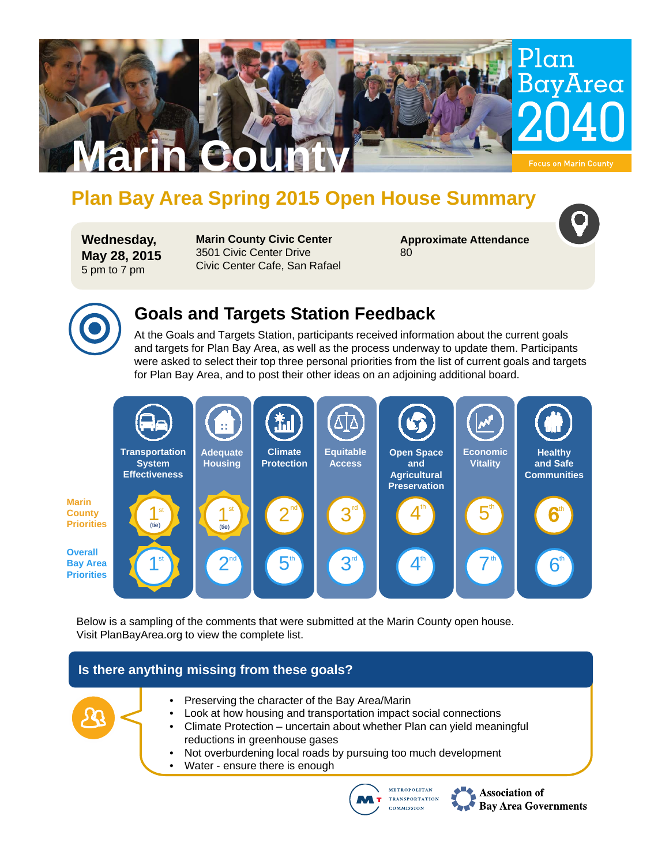

# **Plan Bay Area Spring 2015 Open House Summary**

**Wednesday, May 28, 2015** 5 pm to 7 pm

**Marin County Civic Center** 3501 Civic Center Drive Civic Center Cafe, San Rafael **Approximate Attendance** 80



### **Goals and Targets Station Feedback**

At the Goals and Targets Station, participants received information about the current goals and targets for Plan Bay Area, as well as the process underway to update them. Participants were asked to select their top three personal priorities from the list of current goals and targets for Plan Bay Area, and to post their other ideas on an adjoining additional board.



Below is a sampling of the comments that were submitted at the Marin County open house. Visit PlanBayArea.org to view the complete list.

### **Is there anything missing from these goals?**





Association of **Bay Area Governments**